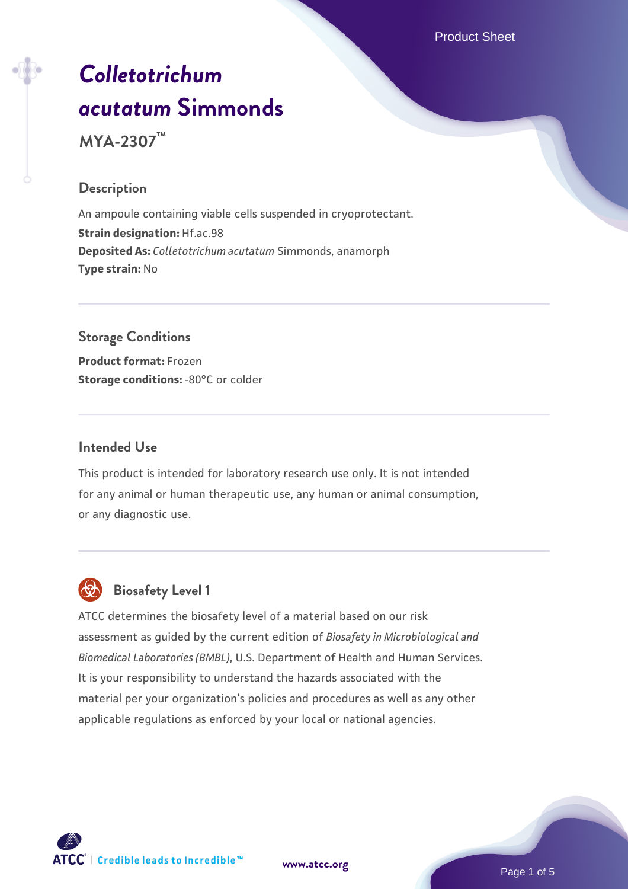Product Sheet

# *[Colletotrichum](https://www.atcc.org/products/mya-2307) [acutatum](https://www.atcc.org/products/mya-2307)* **[Simmonds](https://www.atcc.org/products/mya-2307)**

**MYA-2307™**

# **Description**

An ampoule containing viable cells suspended in cryoprotectant. **Strain designation:** Hf.ac.98 **Deposited As:** *Colletotrichum acutatum* Simmonds, anamorph **Type strain:** No

# **Storage Conditions Product format:** Frozen

**Storage conditions: -80°C or colder** 

# **Intended Use**

This product is intended for laboratory research use only. It is not intended for any animal or human therapeutic use, any human or animal consumption, or any diagnostic use.



# **Biosafety Level 1**

ATCC determines the biosafety level of a material based on our risk assessment as guided by the current edition of *Biosafety in Microbiological and Biomedical Laboratories (BMBL)*, U.S. Department of Health and Human Services. It is your responsibility to understand the hazards associated with the material per your organization's policies and procedures as well as any other applicable regulations as enforced by your local or national agencies.



**[www.atcc.org](http://www.atcc.org)**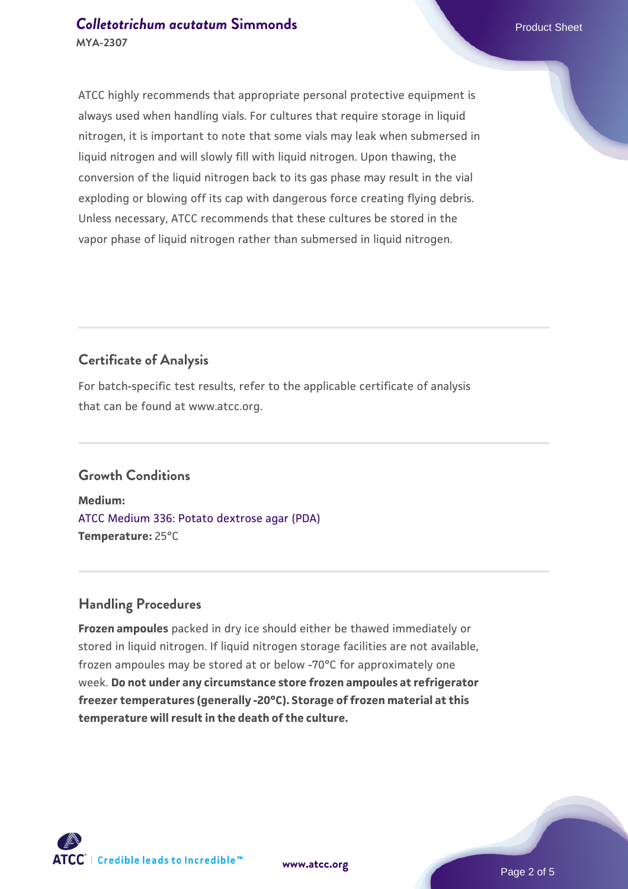ATCC highly recommends that appropriate personal protective equipment is always used when handling vials. For cultures that require storage in liquid nitrogen, it is important to note that some vials may leak when submersed in liquid nitrogen and will slowly fill with liquid nitrogen. Upon thawing, the conversion of the liquid nitrogen back to its gas phase may result in the vial exploding or blowing off its cap with dangerous force creating flying debris. Unless necessary, ATCC recommends that these cultures be stored in the vapor phase of liquid nitrogen rather than submersed in liquid nitrogen.

# **Certificate of Analysis**

For batch-specific test results, refer to the applicable certificate of analysis that can be found at www.atcc.org.

# **Growth Conditions**

**Medium:**  [ATCC Medium 336: Potato dextrose agar \(PDA\)](https://www.atcc.org/-/media/product-assets/documents/microbial-media-formulations/3/3/6/atcc-medium-336.pdf?rev=d9160ad44d934cd8b65175461abbf3b9) **Temperature:** 25°C

# **Handling Procedures**

**Frozen ampoules** packed in dry ice should either be thawed immediately or stored in liquid nitrogen. If liquid nitrogen storage facilities are not available, frozen ampoules may be stored at or below -70°C for approximately one week. **Do not under any circumstance store frozen ampoules at refrigerator freezer temperatures (generally -20°C). Storage of frozen material at this temperature will result in the death of the culture.**

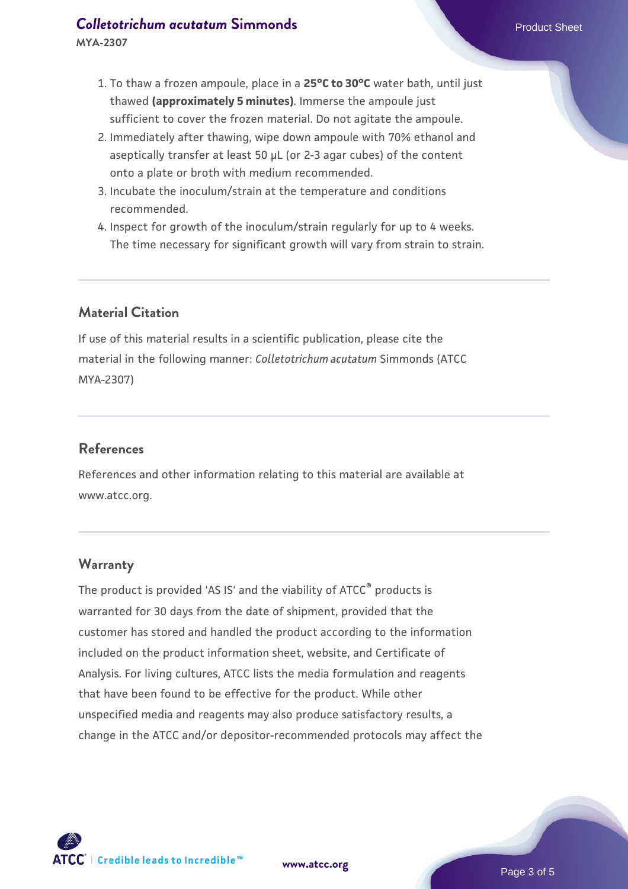# **[Colletotrichum acutatum](https://www.atcc.org/products/mya-2307) [Simmonds](https://www.atcc.org/products/mya-2307) Product Sheet** Product Sheet

- 1. To thaw a frozen ampoule, place in a **25°C to 30°C** water bath, until just thawed **(approximately 5 minutes)**. Immerse the ampoule just sufficient to cover the frozen material. Do not agitate the ampoule.
- 2. Immediately after thawing, wipe down ampoule with 70% ethanol and aseptically transfer at least 50 µL (or 2-3 agar cubes) of the content onto a plate or broth with medium recommended.
- 3. Incubate the inoculum/strain at the temperature and conditions recommended.
- 4. Inspect for growth of the inoculum/strain regularly for up to 4 weeks. The time necessary for significant growth will vary from strain to strain.

# **Material Citation**

If use of this material results in a scientific publication, please cite the material in the following manner: *Colletotrichum acutatum* Simmonds (ATCC MYA-2307)

# **References**

References and other information relating to this material are available at www.atcc.org.

#### **Warranty**

The product is provided 'AS IS' and the viability of ATCC<sup>®</sup> products is warranted for 30 days from the date of shipment, provided that the customer has stored and handled the product according to the information included on the product information sheet, website, and Certificate of Analysis. For living cultures, ATCC lists the media formulation and reagents that have been found to be effective for the product. While other unspecified media and reagents may also produce satisfactory results, a change in the ATCC and/or depositor-recommended protocols may affect the



Page 3 of 5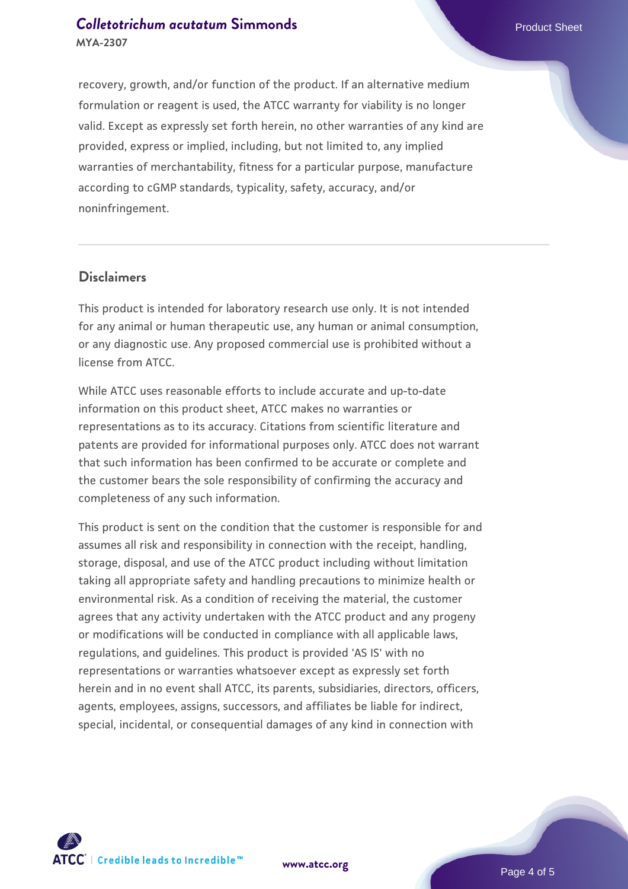# **[Colletotrichum acutatum](https://www.atcc.org/products/mya-2307) [Simmonds](https://www.atcc.org/products/mya-2307) Product Sheet** Product Sheet **MYA-2307**

recovery, growth, and/or function of the product. If an alternative medium formulation or reagent is used, the ATCC warranty for viability is no longer valid. Except as expressly set forth herein, no other warranties of any kind are provided, express or implied, including, but not limited to, any implied warranties of merchantability, fitness for a particular purpose, manufacture according to cGMP standards, typicality, safety, accuracy, and/or noninfringement.

#### **Disclaimers**

This product is intended for laboratory research use only. It is not intended for any animal or human therapeutic use, any human or animal consumption, or any diagnostic use. Any proposed commercial use is prohibited without a license from ATCC.

While ATCC uses reasonable efforts to include accurate and up-to-date information on this product sheet, ATCC makes no warranties or representations as to its accuracy. Citations from scientific literature and patents are provided for informational purposes only. ATCC does not warrant that such information has been confirmed to be accurate or complete and the customer bears the sole responsibility of confirming the accuracy and completeness of any such information.

This product is sent on the condition that the customer is responsible for and assumes all risk and responsibility in connection with the receipt, handling, storage, disposal, and use of the ATCC product including without limitation taking all appropriate safety and handling precautions to minimize health or environmental risk. As a condition of receiving the material, the customer agrees that any activity undertaken with the ATCC product and any progeny or modifications will be conducted in compliance with all applicable laws, regulations, and guidelines. This product is provided 'AS IS' with no representations or warranties whatsoever except as expressly set forth herein and in no event shall ATCC, its parents, subsidiaries, directors, officers, agents, employees, assigns, successors, and affiliates be liable for indirect, special, incidental, or consequential damages of any kind in connection with





Page 4 of 5